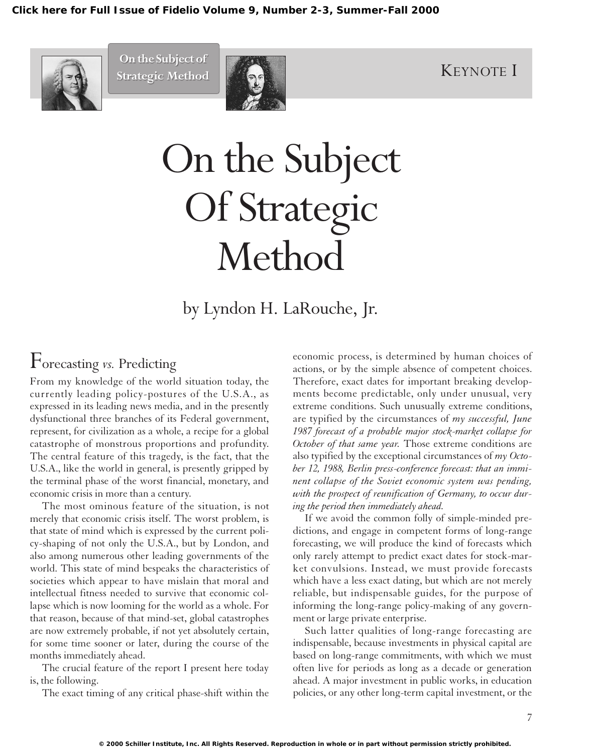

On the Subject of **Constanting Constanting Constanting Constanting Constanting Constanting Constanting Constanting Constanting Constanting Constanting Constanting Constanting Constanting Constanting Constanting Constanting On the Subject of**



# On the Subject Of Strategic Method

by Lyndon H. LaRouche, Jr.

## Forecasting *vs.* Predicting

From my knowledge of the world situation today, the currently leading policy-postures of the U.S.A., as expressed in its leading news media, and in the presently dysfunctional three branches of its Federal government, represent, for civilization as a whole, a recipe for a global catastrophe of monstrous proportions and profundity. The central feature of this tragedy, is the fact, that the U.S.A., like the world in general, is presently gripped by the terminal phase of the worst financial, monetary, and economic crisis in more than a century.

The most ominous feature of the situation, is not merely that economic crisis itself. The worst problem, is that state of mind which is expressed by the current policy-shaping of not only the U.S.A., but by London, and also among numerous other leading governments of the world. This state of mind bespeaks the characteristics of societies which appear to have mislain that moral and intellectual fitness needed to survive that economic collapse which is now looming for the world as a whole. For that reason, because of that mind-set, global catastrophes are now extremely probable, if not yet absolutely certain, for some time sooner or later, during the course of the months immediately ahead.

The crucial feature of the report I present here today is, the following.

The exact timing of any critical phase-shift within the

economic process, is determined by human choices of actions, or by the simple absence of competent choices. Therefore, exact dates for important breaking developments become predictable, only under unusual, very extreme conditions. Such unusually extreme conditions, are typified by the circumstances of *my successful, June 1987 forecast of a probable major stock-market collapse for October of that same year.* Those extreme conditions are also typified by the exceptional circumstances of *my October 12, 1988, Berlin press-conference forecast: that an imminent collapse of the Soviet economic system was pending, with the prospect of reunification of Germany, to occur during the period then immediately ahead.*

If we avoid the common folly of simple-minded predictions, and engage in competent forms of long-range forecasting, we will produce the kind of forecasts which only rarely attempt to predict exact dates for stock-market convulsions. Instead, we must provide forecasts which have a less exact dating, but which are not merely reliable, but indispensable guides, for the purpose of informing the long-range policy-making of any government or large private enterprise.

Such latter qualities of long-range forecasting are indispensable, because investments in physical capital are based on long-range commitments, with which we must often live for periods as long as a decade or generation ahead. A major investment in public works, in education policies, or any other long-term capital investment, or the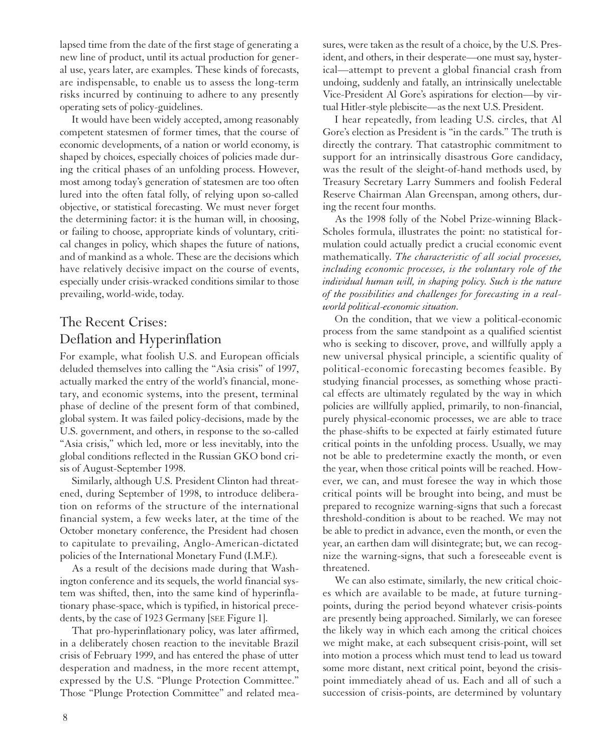lapsed time from the date of the first stage of generating a new line of product, until its actual production for general use, years later, are examples. These kinds of forecasts, are indispensable, to enable us to assess the long-term risks incurred by continuing to adhere to any presently operating sets of policy-guidelines.

It would have been widely accepted, among reasonably competent statesmen of former times, that the course of economic developments, of a nation or world economy, is shaped by choices, especially choices of policies made during the critical phases of an unfolding process. However, most among today's generation of statesmen are too often lured into the often fatal folly, of relying upon so-called objective, or statistical forecasting. We must never forget the determining factor: it is the human will, in choosing, or failing to choose, appropriate kinds of voluntary, critical changes in policy, which shapes the future of nations, and of mankind as a whole. These are the decisions which have relatively decisive impact on the course of events, especially under crisis-wracked conditions similar to those prevailing, world-wide, today.

## The Recent Crises: Deflation and Hyperinflation

For example, what foolish U.S. and European officials deluded themselves into calling the "Asia crisis" of 1997, actually marked the entry of the world's financial, monetary, and economic systems, into the present, terminal phase of decline of the present form of that combined, global system. It was failed policy-decisions, made by the U.S. government, and others, in response to the so-called "Asia crisis," which led, more or less inevitably, into the global conditions reflected in the Russian GKO bond crisis of August-September 1998.

Similarly, although U.S. President Clinton had threatened, during September of 1998, to introduce deliberation on reforms of the structure of the international financial system, a few weeks later, at the time of the October monetary conference, the President had chosen to capitulate to prevailing, Anglo-American-dictated policies of the International Monetary Fund (I.M.F.).

As a result of the decisions made during that Washington conference and its sequels, the world financial system was shifted, then, into the same kind of hyperinflationary phase-space, which is typified, in historical precedents, by the case of 1923 Germany [SEE Figure 1].

That pro-hyperinflationary policy, was later affirmed, in a deliberately chosen reaction to the inevitable Brazil crisis of February 1999, and has entered the phase of utter desperation and madness, in the more recent attempt, expressed by the U.S. "Plunge Protection Committee." Those "Plunge Protection Committee" and related measures, were taken as the result of a choice, by the U.S. President, and others, in their desperate—one must say, hysterical—attempt to prevent a global financial crash from undoing, suddenly and fatally, an intrinsically unelectable Vice-President Al Gore's aspirations for election—by virtual Hitler-style plebiscite—as the next U.S. President.

I hear repeatedly, from leading U.S. circles, that Al Gore's election as President is "in the cards." The truth is directly the contrary. That catastrophic commitment to support for an intrinsically disastrous Gore candidacy, was the result of the sleight-of-hand methods used, by Treasury Secretary Larry Summers and foolish Federal Reserve Chairman Alan Greenspan, among others, during the recent four months.

As the 1998 folly of the Nobel Prize-winning Black-Scholes formula, illustrates the point: no statistical formulation could actually predict a crucial economic event mathematically. *The characteristic of all social processes, including economic processes, is the voluntary role of the individual human will, in shaping policy. Such is the nature of the possibilities and challenges for forecasting in a realworld political-economic situation.*

On the condition, that we view a political-economic process from the same standpoint as a qualified scientist who is seeking to discover, prove, and willfully apply a new universal physical principle, a scientific quality of political-economic forecasting becomes feasible. By studying financial processes, as something whose practical effects are ultimately regulated by the way in which policies are willfully applied, primarily, to non-financial, purely physical-economic processes, we are able to trace the phase-shifts to be expected at fairly estimated future critical points in the unfolding process. Usually, we may not be able to predetermine exactly the month, or even the year, when those critical points will be reached. However, we can, and must foresee the way in which those critical points will be brought into being, and must be prepared to recognize warning-signs that such a forecast threshold-condition is about to be reached. We may not be able to predict in advance, even the month, or even the year, an earthen dam will disintegrate; but, we can recognize the warning-signs, that such a foreseeable event is threatened.

We can also estimate, similarly, the new critical choices which are available to be made, at future turningpoints, during the period beyond whatever crisis-points are presently being approached. Similarly, we can foresee the likely way in which each among the critical choices we might make, at each subsequent crisis-point, will set into motion a process which must tend to lead us toward some more distant, next critical point, beyond the crisispoint immediately ahead of us. Each and all of such a succession of crisis-points, are determined by voluntary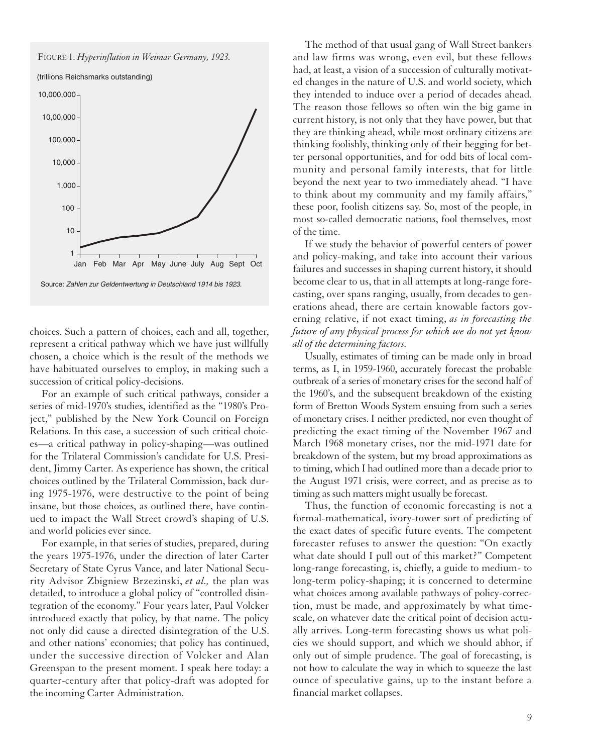

(trillions Reichsmarks outstanding)



choices. Such a pattern of choices, each and all, together, represent a critical pathway which we have just willfully chosen, a choice which is the result of the methods we have habituated ourselves to employ, in making such a succession of critical policy-decisions.

For an example of such critical pathways, consider a series of mid-1970's studies, identified as the "1980's Project," published by the New York Council on Foreign Relations. In this case, a succession of such critical choices—a critical pathway in policy-shaping—was outlined for the Trilateral Commission's candidate for U.S. President, Jimmy Carter. As experience has shown, the critical choices outlined by the Trilateral Commission, back during 1975-1976, were destructive to the point of being insane, but those choices, as outlined there, have continued to impact the Wall Street crowd's shaping of U.S. and world policies ever since.

For example, in that series of studies, prepared, during the years 1975-1976, under the direction of later Carter Secretary of State Cyrus Vance, and later National Security Advisor Zbigniew Brzezinski, *et al.,* the plan was detailed, to introduce a global policy of "controlled disintegration of the economy." Four years later, Paul Volcker introduced exactly that policy, by that name. The policy not only did cause a directed disintegration of the U.S. and other nations' economies; that policy has continued, under the successive direction of Volcker and Alan Greenspan to the present moment. I speak here today: a quarter-century after that policy-draft was adopted for the incoming Carter Administration.

The method of that usual gang of Wall Street bankers and law firms was wrong, even evil, but these fellows had, at least, a vision of a succession of culturally motivated changes in the nature of U.S. and world society, which they intended to induce over a period of decades ahead. The reason those fellows so often win the big game in current history, is not only that they have power, but that they are thinking ahead, while most ordinary citizens are thinking foolishly, thinking only of their begging for better personal opportunities, and for odd bits of local community and personal family interests, that for little beyond the next year to two immediately ahead. "I have to think about my community and my family affairs," these poor, foolish citizens say. So, most of the people, in most so-called democratic nations, fool themselves, most of the time.

If we study the behavior of powerful centers of power and policy-making, and take into account their various failures and successes in shaping current history, it should become clear to us, that in all attempts at long-range forecasting, over spans ranging, usually, from decades to generations ahead, there are certain knowable factors governing relative, if not exact timing, *as in forecasting the future of any physical process for which we do not yet know all of the determining factors.*

Usually, estimates of timing can be made only in broad terms, as I, in 1959-1960, accurately forecast the probable outbreak of a series of monetary crises for the second half of the 1960's, and the subsequent breakdown of the existing form of Bretton Woods System ensuing from such a series of monetary crises. I neither predicted, nor even thought of predicting the exact timing of the November 1967 and March 1968 monetary crises, nor the mid-1971 date for breakdown of the system, but my broad approximations as to timing, which I had outlined more than a decade prior to the August 1971 crisis, were correct, and as precise as to timing as such matters might usually be forecast.

Thus, the function of economic forecasting is not a formal-mathematical, ivory-tower sort of predicting of the exact dates of specific future events. The competent forecaster refuses to answer the question: "On exactly what date should I pull out of this market?" Competent long-range forecasting, is, chiefly, a guide to medium- to long-term policy-shaping; it is concerned to determine what choices among available pathways of policy-correction, must be made, and approximately by what timescale, on whatever date the critical point of decision actually arrives. Long-term forecasting shows us what policies we should support, and which we should abhor, if only out of simple prudence. The goal of forecasting, is not how to calculate the way in which to squeeze the last ounce of speculative gains, up to the instant before a financial market collapses.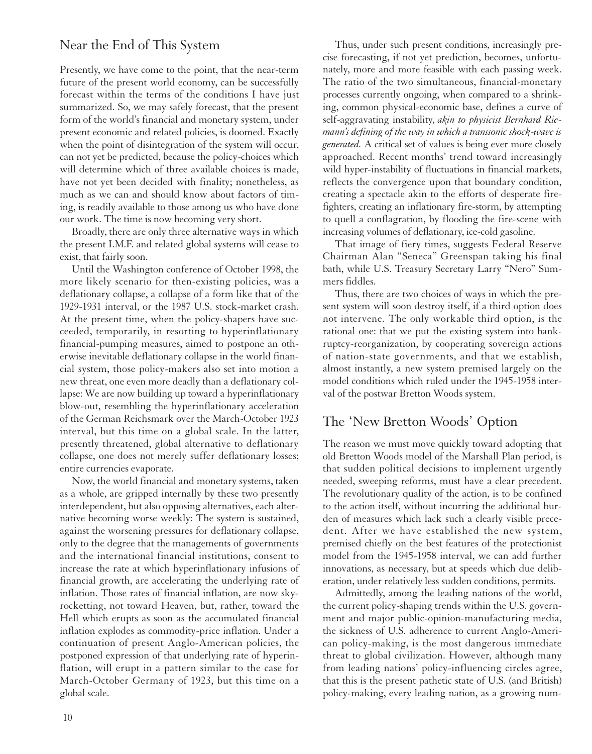## Near the End of This System

Presently, we have come to the point, that the near-term future of the present world economy, can be successfully forecast within the terms of the conditions I have just summarized. So, we may safely forecast, that the present form of the world's financial and monetary system, under present economic and related policies, is doomed. Exactly when the point of disintegration of the system will occur, can not yet be predicted, because the policy-choices which will determine which of three available choices is made, have not yet been decided with finality; nonetheless, as much as we can and should know about factors of timing, is readily available to those among us who have done our work. The time is now becoming very short.

Broadly, there are only three alternative ways in which the present I.M.F. and related global systems will cease to exist, that fairly soon.

Until the Washington conference of October 1998, the more likely scenario for then-existing policies, was a deflationary collapse, a collapse of a form like that of the 1929-1931 interval, or the 1987 U.S. stock-market crash. At the present time, when the policy-shapers have succeeded, temporarily, in resorting to hyperinflationary financial-pumping measures, aimed to postpone an otherwise inevitable deflationary collapse in the world financial system, those policy-makers also set into motion a new threat, one even more deadly than a deflationary collapse: We are now building up toward a hyperinflationary blow-out, resembling the hyperinflationary acceleration of the German Reichsmark over the March-October 1923 interval, but this time on a global scale. In the latter, presently threatened, global alternative to deflationary collapse, one does not merely suffer deflationary losses; entire currencies evaporate.

Now, the world financial and monetary systems, taken as a whole, are gripped internally by these two presently interdependent, but also opposing alternatives, each alternative becoming worse weekly: The system is sustained, against the worsening pressures for deflationary collapse, only to the degree that the managements of governments and the international financial institutions, consent to increase the rate at which hyperinflationary infusions of financial growth, are accelerating the underlying rate of inflation. Those rates of financial inflation, are now skyrocketting, not toward Heaven, but, rather, toward the Hell which erupts as soon as the accumulated financial inflation explodes as commodity-price inflation. Under a continuation of present Anglo-American policies, the postponed expression of that underlying rate of hyperinflation, will erupt in a pattern similar to the case for March-October Germany of 1923, but this time on a global scale.

Thus, under such present conditions, increasingly precise forecasting, if not yet prediction, becomes, unfortunately, more and more feasible with each passing week. The ratio of the two simultaneous, financial-monetary processes currently ongoing, when compared to a shrinking, common physical-economic base, defines a curve of self-aggravating instability, *akin to physicist Bernhard Riemann's defining of the way in which a transsonic shock-wave is generated.* A critical set of values is being ever more closely approached. Recent months' trend toward increasingly wild hyper-instability of fluctuations in financial markets, reflects the convergence upon that boundary condition, creating a spectacle akin to the efforts of desperate firefighters, creating an inflationary fire-storm, by attempting to quell a conflagration, by flooding the fire-scene with increasing volumes of deflationary, ice-cold gasoline.

That image of fiery times, suggests Federal Reserve Chairman Alan "Seneca" Greenspan taking his final bath, while U.S. Treasury Secretary Larry "Nero" Summers fiddles.

Thus, there are two choices of ways in which the present system will soon destroy itself, if a third option does not intervene. The only workable third option, is the rational one: that we put the existing system into bankruptcy-reorganization, by cooperating sovereign actions of nation-state governments, and that we establish, almost instantly, a new system premised largely on the model conditions which ruled under the 1945-1958 interval of the postwar Bretton Woods system.

## The 'New Bretton Woods' Option

The reason we must move quickly toward adopting that old Bretton Woods model of the Marshall Plan period, is that sudden political decisions to implement urgently needed, sweeping reforms, must have a clear precedent. The revolutionary quality of the action, is to be confined to the action itself, without incurring the additional burden of measures which lack such a clearly visible precedent. After we have established the new system, premised chiefly on the best features of the protectionist model from the 1945-1958 interval, we can add further innovations, as necessary, but at speeds which due deliberation, under relatively less sudden conditions, permits.

Admittedly, among the leading nations of the world, the current policy-shaping trends within the U.S. government and major public-opinion-manufacturing media, the sickness of U.S. adherence to current Anglo-American policy-making, is the most dangerous immediate threat to global civilization. However, although many from leading nations' policy-influencing circles agree, that this is the present pathetic state of U.S. (and British) policy-making, every leading nation, as a growing num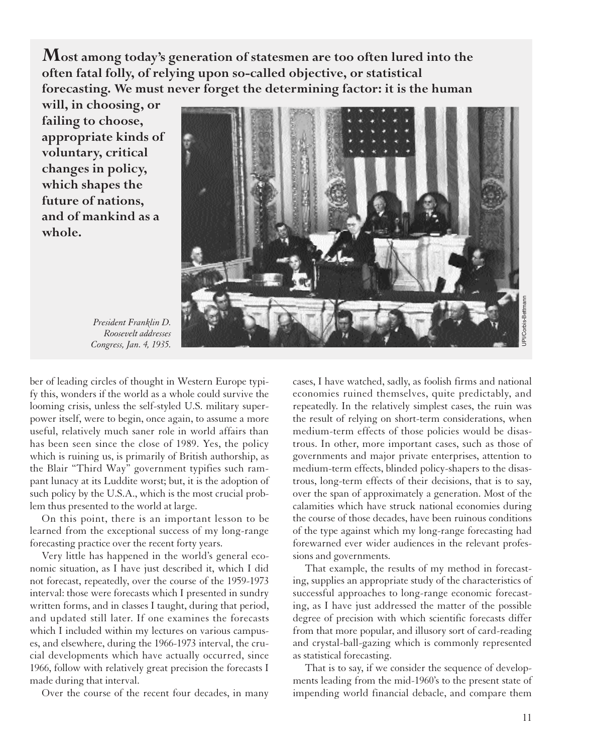**Most among today's generation of statesmen are too often lured into the often fatal folly, of relying upon so-called objective, or statistical forecasting. We must never forget the determining factor: it is the human**

**will, in choosing, or failing to choose, appropriate kinds of voluntary, critical changes in policy, which shapes the future of nations, and of mankind as a whole.** 



*President Franklin D. Roosevelt addresses Congress, Jan. 4, 1935.*

ber of leading circles of thought in Western Europe typify this, wonders if the world as a whole could survive the looming crisis, unless the self-styled U.S. military superpower itself, were to begin, once again, to assume a more useful, relatively much saner role in world affairs than has been seen since the close of 1989. Yes, the policy which is ruining us, is primarily of British authorship, as the Blair "Third Way" government typifies such rampant lunacy at its Luddite worst; but, it is the adoption of such policy by the U.S.A., which is the most crucial problem thus presented to the world at large.

On this point, there is an important lesson to be learned from the exceptional success of my long-range forecasting practice over the recent forty years.

Very little has happened in the world's general economic situation, as I have just described it, which I did not forecast, repeatedly, over the course of the 1959-1973 interval: those were forecasts which I presented in sundry written forms, and in classes I taught, during that period, and updated still later. If one examines the forecasts which I included within my lectures on various campuses, and elsewhere, during the 1966-1973 interval, the crucial developments which have actually occurred, since 1966, follow with relatively great precision the forecasts I made during that interval.

Over the course of the recent four decades, in many

cases, I have watched, sadly, as foolish firms and national economies ruined themselves, quite predictably, and repeatedly. In the relatively simplest cases, the ruin was the result of relying on short-term considerations, when medium-term effects of those policies would be disastrous. In other, more important cases, such as those of governments and major private enterprises, attention to medium-term effects, blinded policy-shapers to the disastrous, long-term effects of their decisions, that is to say, over the span of approximately a generation. Most of the calamities which have struck national economies during the course of those decades, have been ruinous conditions of the type against which my long-range forecasting had forewarned ever wider audiences in the relevant professions and governments.

That example, the results of my method in forecasting, supplies an appropriate study of the characteristics of successful approaches to long-range economic forecasting, as I have just addressed the matter of the possible degree of precision with which scientific forecasts differ from that more popular, and illusory sort of card-reading and crystal-ball-gazing which is commonly represented as statistical forecasting.

That is to say, if we consider the sequence of developments leading from the mid-1960's to the present state of impending world financial debacle, and compare them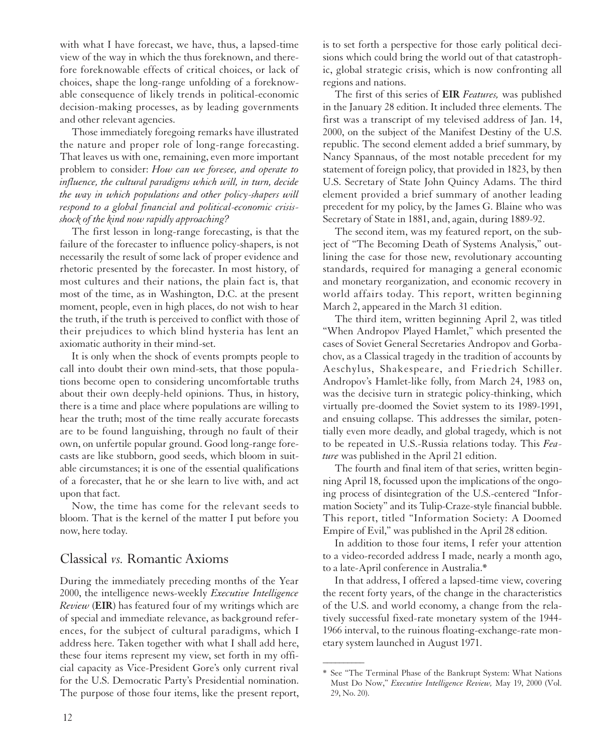with what I have forecast, we have, thus, a lapsed-time view of the way in which the thus foreknown, and therefore foreknowable effects of critical choices, or lack of choices, shape the long-range unfolding of a foreknowable consequence of likely trends in political-economic decision-making processes, as by leading governments and other relevant agencies.

Those immediately foregoing remarks have illustrated the nature and proper role of long-range forecasting. That leaves us with one, remaining, even more important problem to consider: *How can we foresee, and operate to influence, the cultural paradigms which will, in turn, decide the way in which populations and other policy-shapers will respond to a global financial and political-economic crisisshock of the kind now rapidly approaching?*

The first lesson in long-range forecasting, is that the failure of the forecaster to influence policy-shapers, is not necessarily the result of some lack of proper evidence and rhetoric presented by the forecaster. In most history, of most cultures and their nations, the plain fact is, that most of the time, as in Washington, D.C. at the present moment, people, even in high places, do not wish to hear the truth, if the truth is perceived to conflict with those of their prejudices to which blind hysteria has lent an axiomatic authority in their mind-set.

It is only when the shock of events prompts people to call into doubt their own mind-sets, that those populations become open to considering uncomfortable truths about their own deeply-held opinions. Thus, in history, there is a time and place where populations are willing to hear the truth; most of the time really accurate forecasts are to be found languishing, through no fault of their own, on unfertile popular ground. Good long-range forecasts are like stubborn, good seeds, which bloom in suitable circumstances; it is one of the essential qualifications of a forecaster, that he or she learn to live with, and act upon that fact.

Now, the time has come for the relevant seeds to bloom. That is the kernel of the matter I put before you now, here today.

## Classical *vs.* Romantic Axioms

During the immediately preceding months of the Year 2000, the intelligence news-weekly *Executive Intelligence Review* (**EIR**) has featured four of my writings which are of special and immediate relevance, as background references, for the subject of cultural paradigms, which I address here. Taken together with what I shall add here, these four items represent my view, set forth in my official capacity as Vice-President Gore's only current rival for the U.S. Democratic Party's Presidential nomination. The purpose of those four items, like the present report, is to set forth a perspective for those early political decisions which could bring the world out of that catastrophic, global strategic crisis, which is now confronting all regions and nations.

The first of this series of **EIR** *Features,* was published in the January 28 edition. It included three elements. The first was a transcript of my televised address of Jan. 14, 2000, on the subject of the Manifest Destiny of the U.S. republic. The second element added a brief summary, by Nancy Spannaus, of the most notable precedent for my statement of foreign policy, that provided in 1823, by then U.S. Secretary of State John Quincy Adams. The third element provided a brief summary of another leading precedent for my policy, by the James G. Blaine who was Secretary of State in 1881, and, again, during 1889-92.

The second item, was my featured report, on the subject of "The Becoming Death of Systems Analysis," outlining the case for those new, revolutionary accounting standards, required for managing a general economic and monetary reorganization, and economic recovery in world affairs today. This report, written beginning March 2, appeared in the March 31 edition.

The third item, written beginning April 2, was titled "When Andropov Played Hamlet," which presented the cases of Soviet General Secretaries Andropov and Gorbachov, as a Classical tragedy in the tradition of accounts by Aeschylus, Shakespeare, and Friedrich Schiller. Andropov's Hamlet-like folly, from March 24, 1983 on, was the decisive turn in strategic policy-thinking, which virtually pre-doomed the Soviet system to its 1989-1991, and ensuing collapse. This addresses the similar, potentially even more deadly, and global tragedy, which is not to be repeated in U.S.-Russia relations today. This *Feature* was published in the April 21 edition.

The fourth and final item of that series, written beginning April 18, focussed upon the implications of the ongoing process of disintegration of the U.S.-centered "Information Society" and its Tulip-Craze-style financial bubble. This report, titled "Information Society: A Doomed Empire of Evil," was published in the April 28 edition.

In addition to those four items, I refer your attention to a video-recorded address I made, nearly a month ago, to a late-April conference in Australia.\*

In that address, I offered a lapsed-time view, covering the recent forty years, of the change in the characteristics of the U.S. and world economy, a change from the relatively successful fixed-rate monetary system of the 1944- 1966 interval, to the ruinous floating-exchange-rate monetary system launched in August 1971.

 $\overline{\phantom{a}}$ 

<sup>\*</sup> See "The Terminal Phase of the Bankrupt System: What Nations Must Do Now," *Executive Intelligence Review,* May 19, 2000 (Vol. 29, No. 20).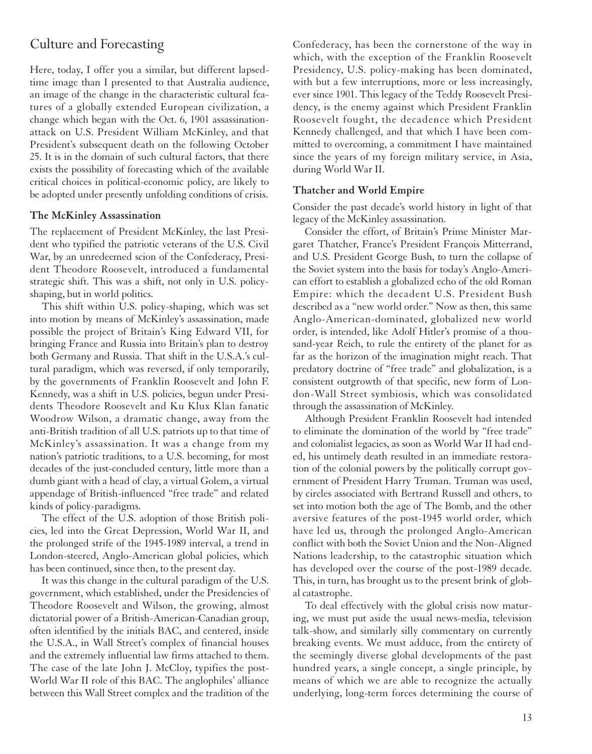## Culture and Forecasting

Here, today, I offer you a similar, but different lapsedtime image than I presented to that Australia audience, an image of the change in the characteristic cultural features of a globally extended European civilization, a change which began with the Oct. 6, 1901 assassinationattack on U.S. President William McKinley, and that President's subsequent death on the following October 25. It is in the domain of such cultural factors, that there exists the possibility of forecasting which of the available critical choices in political-economic policy, are likely to be adopted under presently unfolding conditions of crisis.

#### **The McKinley Assassination**

The replacement of President McKinley, the last President who typified the patriotic veterans of the U.S. Civil War, by an unredeemed scion of the Confederacy, President Theodore Roosevelt, introduced a fundamental strategic shift. This was a shift, not only in U.S. policyshaping, but in world politics.

This shift within U.S. policy-shaping, which was set into motion by means of McKinley's assassination, made possible the project of Britain's King Edward VII, for bringing France and Russia into Britain's plan to destroy both Germany and Russia. That shift in the U.S.A.'s cultural paradigm, which was reversed, if only temporarily, by the governments of Franklin Roosevelt and John F. Kennedy, was a shift in U.S. policies, begun under Presidents Theodore Roosevelt and Ku Klux Klan fanatic Woodrow Wilson, a dramatic change, away from the anti-British tradition of all U.S. patriots up to that time of McKinley's assassination. It was a change from my nation's patriotic traditions, to a U.S. becoming, for most decades of the just-concluded century, little more than a dumb giant with a head of clay, a virtual Golem, a virtual appendage of British-influenced "free trade" and related kinds of policy-paradigms.

The effect of the U.S. adoption of those British policies, led into the Great Depression, World War II, and the prolonged strife of the 1945-1989 interval, a trend in London-steered, Anglo-American global policies, which has been continued, since then, to the present day.

It was this change in the cultural paradigm of the U.S. government, which established, under the Presidencies of Theodore Roosevelt and Wilson, the growing, almost dictatorial power of a British-American-Canadian group, often identified by the initials BAC, and centered, inside the U.S.A., in Wall Street's complex of financial houses and the extremely influential law firms attached to them. The case of the late John J. McCloy, typifies the post-World War II role of this BAC. The anglophiles' alliance between this Wall Street complex and the tradition of the Confederacy, has been the cornerstone of the way in which, with the exception of the Franklin Roosevelt Presidency, U.S. policy-making has been dominated, with but a few interruptions, more or less increasingly, ever since 1901. This legacy of the Teddy Roosevelt Presidency, is the enemy against which President Franklin Roosevelt fought, the decadence which President Kennedy challenged, and that which I have been committed to overcoming, a commitment I have maintained since the years of my foreign military service, in Asia, during World War II.

#### **Thatcher and World Empire**

Consider the past decade's world history in light of that legacy of the McKinley assassination.

Consider the effort, of Britain's Prime Minister Margaret Thatcher, France's President François Mitterrand, and U.S. President George Bush, to turn the collapse of the Soviet system into the basis for today's Anglo-American effort to establish a globalized echo of the old Roman Empire: which the decadent U.S. President Bush described as a "new world order." Now as then, this same Anglo-American-dominated, globalized new world order, is intended, like Adolf Hitler's promise of a thousand-year Reich, to rule the entirety of the planet for as far as the horizon of the imagination might reach. That predatory doctrine of "free trade" and globalization, is a consistent outgrowth of that specific, new form of London-Wall Street symbiosis, which was consolidated through the assassination of McKinley.

Although President Franklin Roosevelt had intended to eliminate the domination of the world by "free trade" and colonialist legacies, as soon as World War II had ended, his untimely death resulted in an immediate restoration of the colonial powers by the politically corrupt government of President Harry Truman. Truman was used, by circles associated with Bertrand Russell and others, to set into motion both the age of The Bomb, and the other aversive features of the post-1945 world order, which have led us, through the prolonged Anglo-American conflict with both the Soviet Union and the Non-Aligned Nations leadership, to the catastrophic situation which has developed over the course of the post-1989 decade. This, in turn, has brought us to the present brink of global catastrophe.

To deal effectively with the global crisis now maturing, we must put aside the usual news-media, television talk-show, and similarly silly commentary on currently breaking events. We must adduce, from the entirety of the seemingly diverse global developments of the past hundred years, a single concept, a single principle, by means of which we are able to recognize the actually underlying, long-term forces determining the course of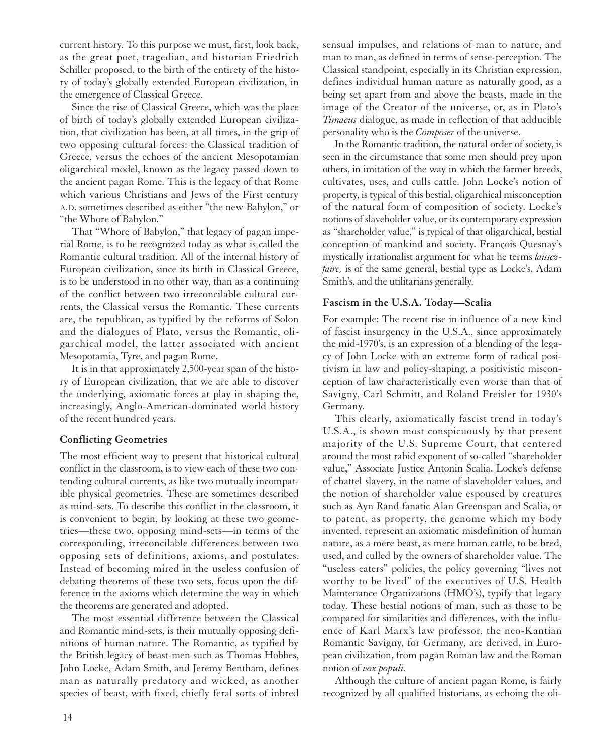current history. To this purpose we must, first, look back, as the great poet, tragedian, and historian Friedrich Schiller proposed, to the birth of the entirety of the history of today's globally extended European civilization, in the emergence of Classical Greece.

Since the rise of Classical Greece, which was the place of birth of today's globally extended European civilization, that civilization has been, at all times, in the grip of two opposing cultural forces: the Classical tradition of Greece, versus the echoes of the ancient Mesopotamian oligarchical model, known as the legacy passed down to the ancient pagan Rome. This is the legacy of that Rome which various Christians and Jews of the First century A.D. sometimes described as either "the new Babylon," or "the Whore of Babylon."

That "Whore of Babylon," that legacy of pagan imperial Rome, is to be recognized today as what is called the Romantic cultural tradition. All of the internal history of European civilization, since its birth in Classical Greece, is to be understood in no other way, than as a continuing of the conflict between two irreconcilable cultural currents, the Classical versus the Romantic. These currents are, the republican, as typified by the reforms of Solon and the dialogues of Plato, versus the Romantic, oligarchical model, the latter associated with ancient Mesopotamia, Tyre, and pagan Rome.

It is in that approximately 2,500-year span of the history of European civilization, that we are able to discover the underlying, axiomatic forces at play in shaping the, increasingly, Anglo-American-dominated world history of the recent hundred years.

### **Conflicting Geometries**

The most efficient way to present that historical cultural conflict in the classroom, is to view each of these two contending cultural currents, as like two mutually incompatible physical geometries. These are sometimes described as mind-sets. To describe this conflict in the classroom, it is convenient to begin, by looking at these two geometries—these two, opposing mind-sets—in terms of the corresponding, irreconcilable differences between two opposing sets of definitions, axioms, and postulates. Instead of becoming mired in the useless confusion of debating theorems of these two sets, focus upon the difference in the axioms which determine the way in which the theorems are generated and adopted.

The most essential difference between the Classical and Romantic mind-sets, is their mutually opposing definitions of human nature. The Romantic, as typified by the British legacy of beast-men such as Thomas Hobbes, John Locke, Adam Smith, and Jeremy Bentham, defines man as naturally predatory and wicked, as another species of beast, with fixed, chiefly feral sorts of inbred sensual impulses, and relations of man to nature, and man to man, as defined in terms of sense-perception. The Classical standpoint, especially in its Christian expression, defines individual human nature as naturally good, as a being set apart from and above the beasts, made in the image of the Creator of the universe, or, as in Plato's *Timaeus* dialogue, as made in reflection of that adducible personality who is the *Composer* of the universe.

In the Romantic tradition, the natural order of society, is seen in the circumstance that some men should prey upon others, in imitation of the way in which the farmer breeds, cultivates, uses, and culls cattle. John Locke's notion of property, is typical of this bestial, oligarchical misconception of the natural form of composition of society. Locke's notions of slaveholder value, or its contemporary expression as "shareholder value," is typical of that oligarchical, bestial conception of mankind and society. François Quesnay's mystically irrationalist argument for what he terms *laissezfaire,* is of the same general, bestial type as Locke's, Adam Smith's, and the utilitarians generally.

### **Fascism in the U.S.A. Today—Scalia**

For example: The recent rise in influence of a new kind of fascist insurgency in the U.S.A., since approximately the mid-1970's, is an expression of a blending of the legacy of John Locke with an extreme form of radical positivism in law and policy-shaping, a positivistic misconception of law characteristically even worse than that of Savigny, Carl Schmitt, and Roland Freisler for 1930's Germany.

This clearly, axiomatically fascist trend in today's U.S.A., is shown most conspicuously by that present majority of the U.S. Supreme Court, that centered around the most rabid exponent of so-called "shareholder value," Associate Justice Antonin Scalia. Locke's defense of chattel slavery, in the name of slaveholder values, and the notion of shareholder value espoused by creatures such as Ayn Rand fanatic Alan Greenspan and Scalia, or to patent, as property, the genome which my body invented, represent an axiomatic misdefinition of human nature, as a mere beast, as mere human cattle, to be bred, used, and culled by the owners of shareholder value. The "useless eaters" policies, the policy governing "lives not worthy to be lived" of the executives of U.S. Health Maintenance Organizations (HMO's), typify that legacy today. These bestial notions of man, such as those to be compared for similarities and differences, with the influence of Karl Marx's law professor, the neo-Kantian Romantic Savigny, for Germany, are derived, in European civilization, from pagan Roman law and the Roman notion of *vox populi.*

Although the culture of ancient pagan Rome, is fairly recognized by all qualified historians, as echoing the oli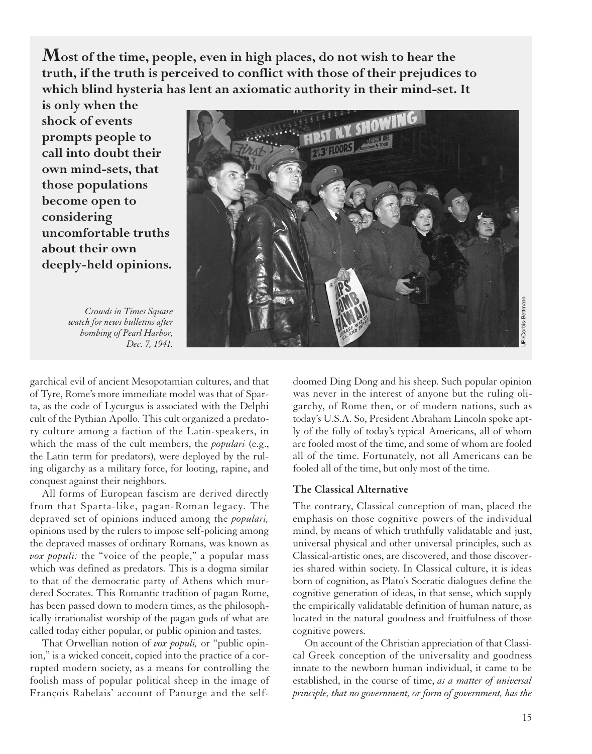**Most of the time, people, even in high places, do not wish to hear the truth, if the truth is perceived to conflict with those of their prejudices to which blind hysteria has lent an axiomatic authority in their mind-set. It**

**is only when the shock of events prompts people to call into doubt their own mind-sets, that those populations become open to considering uncomfortable truths about their own deeply-held opinions.**

*Crowds in Times Square watch for news bulletins after bombing of Pearl Harbor, Dec. 7, 1941.*



garchical evil of ancient Mesopotamian cultures, and that of Tyre, Rome's more immediate model was that of Sparta, as the code of Lycurgus is associated with the Delphi cult of the Pythian Apollo. This cult organized a predatory culture among a faction of the Latin-speakers, in which the mass of the cult members, the *populari* (e.g., the Latin term for predators), were deployed by the ruling oligarchy as a military force, for looting, rapine, and conquest against their neighbors.

All forms of European fascism are derived directly from that Sparta-like, pagan-Roman legacy. The depraved set of opinions induced among the *populari,* opinions used by the rulers to impose self-policing among the depraved masses of ordinary Romans, was known as *vox populi:* the "voice of the people," a popular mass which was defined as predators. This is a dogma similar to that of the democratic party of Athens which murdered Socrates. This Romantic tradition of pagan Rome, has been passed down to modern times, as the philosophically irrationalist worship of the pagan gods of what are called today either popular, or public opinion and tastes.

That Orwellian notion of *vox populi,* or "public opinion," is a wicked conceit, copied into the practice of a corrupted modern society, as a means for controlling the foolish mass of popular political sheep in the image of François Rabelais' account of Panurge and the selfdoomed Ding Dong and his sheep. Such popular opinion was never in the interest of anyone but the ruling oligarchy, of Rome then, or of modern nations, such as today's U.S.A. So, President Abraham Lincoln spoke aptly of the folly of today's typical Americans, all of whom are fooled most of the time, and some of whom are fooled all of the time. Fortunately, not all Americans can be fooled all of the time, but only most of the time.

#### **The Classical Alternative**

The contrary, Classical conception of man, placed the emphasis on those cognitive powers of the individual mind, by means of which truthfully validatable and just, universal physical and other universal principles, such as Classical-artistic ones, are discovered, and those discoveries shared within society. In Classical culture, it is ideas born of cognition, as Plato's Socratic dialogues define the cognitive generation of ideas, in that sense, which supply the empirically validatable definition of human nature, as located in the natural goodness and fruitfulness of those cognitive powers.

On account of the Christian appreciation of that Classical Greek conception of the universality and goodness innate to the newborn human individual, it came to be established, in the course of time, *as a matter of universal principle, that no government, or form of government, has the*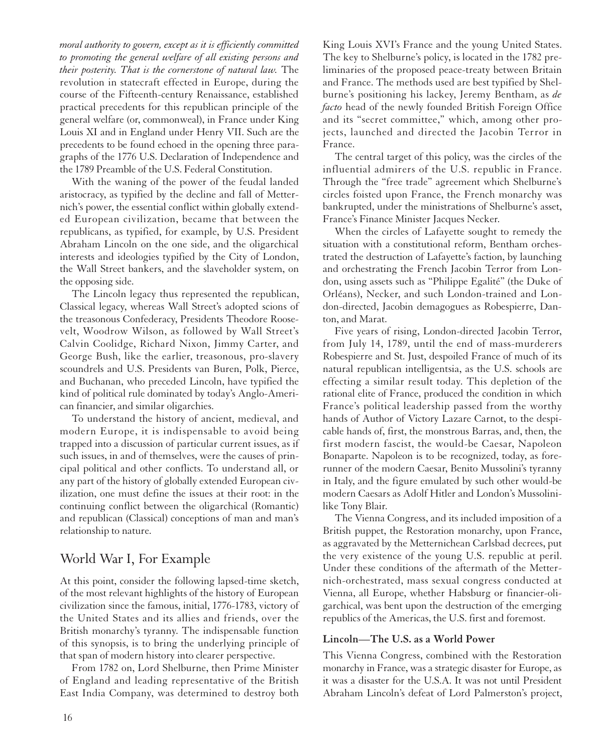*moral authority to govern, except as it is efficiently committed to promoting the general welfare of all existing persons and their posterity. That is the cornerstone of natural law.* The revolution in statecraft effected in Europe, during the course of the Fifteenth-century Renaissance, established practical precedents for this republican principle of the general welfare (or, commonweal), in France under King Louis XI and in England under Henry VII. Such are the precedents to be found echoed in the opening three paragraphs of the 1776 U.S. Declaration of Independence and the 1789 Preamble of the U.S. Federal Constitution.

With the waning of the power of the feudal landed aristocracy, as typified by the decline and fall of Metternich's power, the essential conflict within globally extended European civilization, became that between the republicans, as typified, for example, by U.S. President Abraham Lincoln on the one side, and the oligarchical interests and ideologies typified by the City of London, the Wall Street bankers, and the slaveholder system, on the opposing side.

The Lincoln legacy thus represented the republican, Classical legacy, whereas Wall Street's adopted scions of the treasonous Confederacy, Presidents Theodore Roosevelt, Woodrow Wilson, as followed by Wall Street's Calvin Coolidge, Richard Nixon, Jimmy Carter, and George Bush, like the earlier, treasonous, pro-slavery scoundrels and U.S. Presidents van Buren, Polk, Pierce, and Buchanan, who preceded Lincoln, have typified the kind of political rule dominated by today's Anglo-American financier, and similar oligarchies.

To understand the history of ancient, medieval, and modern Europe, it is indispensable to avoid being trapped into a discussion of particular current issues, as if such issues, in and of themselves, were the causes of principal political and other conflicts. To understand all, or any part of the history of globally extended European civilization, one must define the issues at their root: in the continuing conflict between the oligarchical (Romantic) and republican (Classical) conceptions of man and man's relationship to nature.

## World War I, For Example

At this point, consider the following lapsed-time sketch, of the most relevant highlights of the history of European civilization since the famous, initial, 1776-1783, victory of the United States and its allies and friends, over the British monarchy's tyranny. The indispensable function of this synopsis, is to bring the underlying principle of that span of modern history into clearer perspective.

From 1782 on, Lord Shelburne, then Prime Minister of England and leading representative of the British East India Company, was determined to destroy both

King Louis XVI's France and the young United States. The key to Shelburne's policy, is located in the 1782 preliminaries of the proposed peace-treaty between Britain and France. The methods used are best typified by Shelburne's positioning his lackey, Jeremy Bentham, as *de facto* head of the newly founded British Foreign Office and its "secret committee," which, among other projects, launched and directed the Jacobin Terror in France.

The central target of this policy, was the circles of the influential admirers of the U.S. republic in France. Through the "free trade" agreement which Shelburne's circles foisted upon France, the French monarchy was bankrupted, under the ministrations of Shelburne's asset, France's Finance Minister Jacques Necker.

When the circles of Lafayette sought to remedy the situation with a constitutional reform, Bentham orchestrated the destruction of Lafayette's faction, by launching and orchestrating the French Jacobin Terror from London, using assets such as "Philippe Egalité" (the Duke of Orléans), Necker, and such London-trained and London-directed, Jacobin demagogues as Robespierre, Danton, and Marat.

Five years of rising, London-directed Jacobin Terror, from July 14, 1789, until the end of mass-murderers Robespierre and St. Just, despoiled France of much of its natural republican intelligentsia, as the U.S. schools are effecting a similar result today. This depletion of the rational elite of France, produced the condition in which France's political leadership passed from the worthy hands of Author of Victory Lazare Carnot, to the despicable hands of, first, the monstrous Barras, and, then, the first modern fascist, the would-be Caesar, Napoleon Bonaparte. Napoleon is to be recognized, today, as forerunner of the modern Caesar, Benito Mussolini's tyranny in Italy, and the figure emulated by such other would-be modern Caesars as Adolf Hitler and London's Mussolinilike Tony Blair.

The Vienna Congress, and its included imposition of a British puppet, the Restoration monarchy, upon France, as aggravated by the Metternichean Carlsbad decrees, put the very existence of the young U.S. republic at peril. Under these conditions of the aftermath of the Metternich-orchestrated, mass sexual congress conducted at Vienna, all Europe, whether Habsburg or financier-oligarchical, was bent upon the destruction of the emerging republics of the Americas, the U.S. first and foremost.

#### **Lincoln—The U.S. as a World Power**

This Vienna Congress, combined with the Restoration monarchy in France, was a strategic disaster for Europe, as it was a disaster for the U.S.A. It was not until President Abraham Lincoln's defeat of Lord Palmerston's project,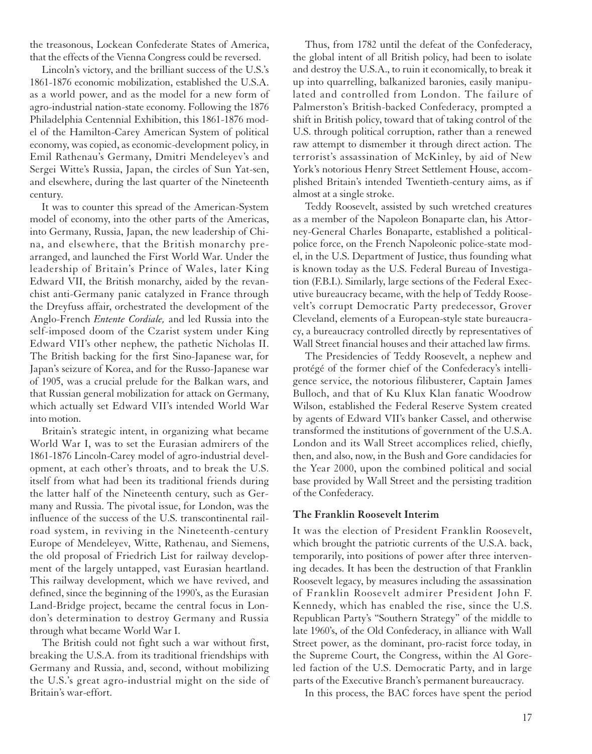the treasonous, Lockean Confederate States of America, that the effects of the Vienna Congress could be reversed.

Lincoln's victory, and the brilliant success of the U.S.'s 1861-1876 economic mobilization, established the U.S.A. as a world power, and as the model for a new form of agro-industrial nation-state economy. Following the 1876 Philadelphia Centennial Exhibition, this 1861-1876 model of the Hamilton-Carey American System of political economy, was copied, as economic-development policy, in Emil Rathenau's Germany, Dmitri Mendeleyev's and Sergei Witte's Russia, Japan, the circles of Sun Yat-sen, and elsewhere, during the last quarter of the Nineteenth century.

It was to counter this spread of the American-System model of economy, into the other parts of the Americas, into Germany, Russia, Japan, the new leadership of China, and elsewhere, that the British monarchy prearranged, and launched the First World War. Under the leadership of Britain's Prince of Wales, later King Edward VII, the British monarchy, aided by the revanchist anti-Germany panic catalyzed in France through the Dreyfuss affair, orchestrated the development of the Anglo-French *Entente Cordiale,* and led Russia into the self-imposed doom of the Czarist system under King Edward VII's other nephew, the pathetic Nicholas II. The British backing for the first Sino-Japanese war, for Japan's seizure of Korea, and for the Russo-Japanese war of 1905, was a crucial prelude for the Balkan wars, and that Russian general mobilization for attack on Germany, which actually set Edward VII's intended World War into motion.

Britain's strategic intent, in organizing what became World War I, was to set the Eurasian admirers of the 1861-1876 Lincoln-Carey model of agro-industrial development, at each other's throats, and to break the U.S. itself from what had been its traditional friends during the latter half of the Nineteenth century, such as Germany and Russia. The pivotal issue, for London, was the influence of the success of the U.S. transcontinental railroad system, in reviving in the Nineteenth-century Europe of Mendeleyev, Witte, Rathenau, and Siemens, the old proposal of Friedrich List for railway development of the largely untapped, vast Eurasian heartland. This railway development, which we have revived, and defined, since the beginning of the 1990's, as the Eurasian Land-Bridge project, became the central focus in London's determination to destroy Germany and Russia through what became World War I.

The British could not fight such a war without first, breaking the U.S.A. from its traditional friendships with Germany and Russia, and, second, without mobilizing the U.S.'s great agro-industrial might on the side of Britain's war-effort.

Thus, from 1782 until the defeat of the Confederacy, the global intent of all British policy, had been to isolate and destroy the U.S.A., to ruin it economically, to break it up into quarrelling, balkanized baronies, easily manipulated and controlled from London. The failure of Palmerston's British-backed Confederacy, prompted a shift in British policy, toward that of taking control of the U.S. through political corruption, rather than a renewed raw attempt to dismember it through direct action. The terrorist's assassination of McKinley, by aid of New York's notorious Henry Street Settlement House, accomplished Britain's intended Twentieth-century aims, as if almost at a single stroke.

Teddy Roosevelt, assisted by such wretched creatures as a member of the Napoleon Bonaparte clan, his Attorney-General Charles Bonaparte, established a politicalpolice force, on the French Napoleonic police-state model, in the U.S. Department of Justice, thus founding what is known today as the U.S. Federal Bureau of Investigation (F.B.I.). Similarly, large sections of the Federal Executive bureaucracy became, with the help of Teddy Roosevelt's corrupt Democratic Party predecessor, Grover Cleveland, elements of a European-style state bureaucracy, a bureaucracy controlled directly by representatives of Wall Street financial houses and their attached law firms.

The Presidencies of Teddy Roosevelt, a nephew and protégé of the former chief of the Confederacy's intelligence service, the notorious filibusterer, Captain James Bulloch, and that of Ku Klux Klan fanatic Woodrow Wilson, established the Federal Reserve System created by agents of Edward VII's banker Cassel, and otherwise transformed the institutions of government of the U.S.A. London and its Wall Street accomplices relied, chiefly, then, and also, now, in the Bush and Gore candidacies for the Year 2000, upon the combined political and social base provided by Wall Street and the persisting tradition of the Confederacy.

#### **The Franklin Roosevelt Interim**

It was the election of President Franklin Roosevelt, which brought the patriotic currents of the U.S.A. back, temporarily, into positions of power after three intervening decades. It has been the destruction of that Franklin Roosevelt legacy, by measures including the assassination of Franklin Roosevelt admirer President John F. Kennedy, which has enabled the rise, since the U.S. Republican Party's "Southern Strategy" of the middle to late 1960's, of the Old Confederacy, in alliance with Wall Street power, as the dominant, pro-racist force today, in the Supreme Court, the Congress, within the Al Goreled faction of the U.S. Democratic Party, and in large parts of the Executive Branch's permanent bureaucracy.

In this process, the BAC forces have spent the period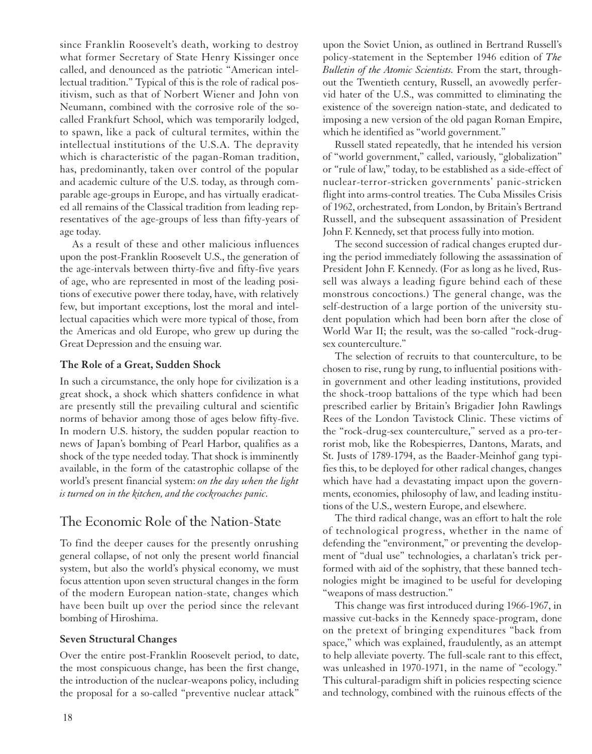since Franklin Roosevelt's death, working to destroy what former Secretary of State Henry Kissinger once called, and denounced as the patriotic "American intellectual tradition." Typical of this is the role of radical positivism, such as that of Norbert Wiener and John von Neumann, combined with the corrosive role of the socalled Frankfurt School, which was temporarily lodged, to spawn, like a pack of cultural termites, within the intellectual institutions of the U.S.A. The depravity which is characteristic of the pagan-Roman tradition, has, predominantly, taken over control of the popular and academic culture of the U.S. today, as through comparable age-groups in Europe, and has virtually eradicated all remains of the Classical tradition from leading representatives of the age-groups of less than fifty-years of age today.

As a result of these and other malicious influences upon the post-Franklin Roosevelt U.S., the generation of the age-intervals between thirty-five and fifty-five years of age, who are represented in most of the leading positions of executive power there today, have, with relatively few, but important exceptions, lost the moral and intellectual capacities which were more typical of those, from the Americas and old Europe, who grew up during the Great Depression and the ensuing war.

### **The Role of a Great, Sudden Shock**

In such a circumstance, the only hope for civilization is a great shock, a shock which shatters confidence in what are presently still the prevailing cultural and scientific norms of behavior among those of ages below fifty-five. In modern U.S. history, the sudden popular reaction to news of Japan's bombing of Pearl Harbor, qualifies as a shock of the type needed today. That shock is imminently available, in the form of the catastrophic collapse of the world's present financial system: *on the day when the light is turned on in the kitchen, and the cockroaches panic.*

## The Economic Role of the Nation-State

To find the deeper causes for the presently onrushing general collapse, of not only the present world financial system, but also the world's physical economy, we must focus attention upon seven structural changes in the form of the modern European nation-state, changes which have been built up over the period since the relevant bombing of Hiroshima.

#### **Seven Structural Changes**

Over the entire post-Franklin Roosevelt period, to date, the most conspicuous change, has been the first change, the introduction of the nuclear-weapons policy, including the proposal for a so-called "preventive nuclear attack"

or "rule of law," today, to be established as a side-effect of nuclear-terror-stricken governments' panic-stricken flight into arms-control treaties. The Cuba Missiles Crisis of 1962, orchestrated, from London, by Britain's Bertrand Russell, and the subsequent assassination of President John F. Kennedy, set that process fully into motion.

The second succession of radical changes erupted during the period immediately following the assassination of President John F. Kennedy. (For as long as he lived, Russell was always a leading figure behind each of these monstrous concoctions.) The general change, was the self-destruction of a large portion of the university student population which had been born after the close of World War II; the result, was the so-called "rock-drugsex counterculture."

upon the Soviet Union, as outlined in Bertrand Russell's policy-statement in the September 1946 edition of *The Bulletin of the Atomic Scientists.* From the start, throughout the Twentieth century, Russell, an avowedly perfervid hater of the U.S., was committed to eliminating the existence of the sovereign nation-state, and dedicated to imposing a new version of the old pagan Roman Empire,

Russell stated repeatedly, that he intended his version of "world government," called, variously, "globalization"

which he identified as "world government."

The selection of recruits to that counterculture, to be chosen to rise, rung by rung, to influential positions within government and other leading institutions, provided the shock-troop battalions of the type which had been prescribed earlier by Britain's Brigadier John Rawlings Rees of the London Tavistock Clinic. These victims of the "rock-drug-sex counterculture," served as a pro-terrorist mob, like the Robespierres, Dantons, Marats, and St. Justs of 1789-1794, as the Baader-Meinhof gang typifies this, to be deployed for other radical changes, changes which have had a devastating impact upon the governments, economies, philosophy of law, and leading institutions of the U.S., western Europe, and elsewhere.

The third radical change, was an effort to halt the role of technological progress, whether in the name of defending the "environment," or preventing the development of "dual use" technologies, a charlatan's trick performed with aid of the sophistry, that these banned technologies might be imagined to be useful for developing "weapons of mass destruction."

This change was first introduced during 1966-1967, in massive cut-backs in the Kennedy space-program, done on the pretext of bringing expenditures "back from space," which was explained, fraudulently, as an attempt to help alleviate poverty. The full-scale rant to this effect, was unleashed in 1970-1971, in the name of "ecology." This cultural-paradigm shift in policies respecting science and technology, combined with the ruinous effects of the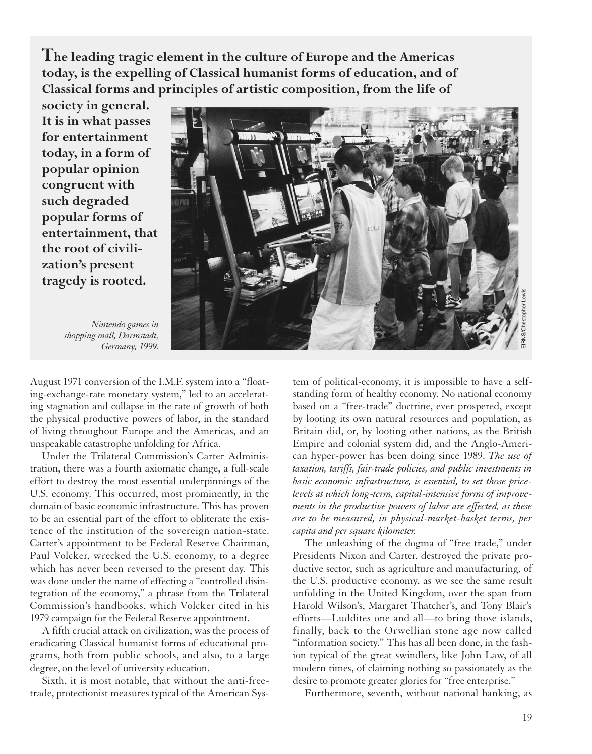**The leading tragic element in the culture of Europe and the Americas today, is the expelling of Classical humanist forms of education, and of Classical forms and principles of artistic composition, from the life of**

**society in general. It is in what passes for entertainment today, in a form of popular opinion congruent with such degraded popular forms of entertainment, that the root of civilization's present tragedy is rooted.**



*Nintendo games in shopping mall, Darmstadt, Germany, 1999.*

August 1971 conversion of the I.M.F. system into a "floating-exchange-rate monetary system," led to an accelerating stagnation and collapse in the rate of growth of both the physical productive powers of labor, in the standard of living throughout Europe and the Americas, and an unspeakable catastrophe unfolding for Africa.

Under the Trilateral Commission's Carter Administration, there was a fourth axiomatic change, a full-scale effort to destroy the most essential underpinnings of the U.S. economy. This occurred, most prominently, in the domain of basic economic infrastructure. This has proven to be an essential part of the effort to obliterate the existence of the institution of the sovereign nation-state. Carter's appointment to be Federal Reserve Chairman, Paul Volcker, wrecked the U.S. economy, to a degree which has never been reversed to the present day. This was done under the name of effecting a "controlled disintegration of the economy," a phrase from the Trilateral Commission's handbooks, which Volcker cited in his 1979 campaign for the Federal Reserve appointment.

A fifth crucial attack on civilization, was the process of eradicating Classical humanist forms of educational programs, both from public schools, and also, to a large degree, on the level of university education.

Sixth, it is most notable, that without the anti-freetrade, protectionist measures typical of the American System of political-economy, it is impossible to have a selfstanding form of healthy economy. No national economy based on a "free-trade" doctrine, ever prospered, except by looting its own natural resources and population, as Britain did, or, by looting other nations, as the British Empire and colonial system did, and the Anglo-American hyper-power has been doing since 1989. *The use of taxation, tariffs, fair-trade policies, and public investments in basic economic infrastructure, is essential, to set those pricelevels at which long-term, capital-intensive forms of improvements in the productive powers of labor are effected, as these are to be measured, in physical-market-basket terms, per capita and per square kilometer.*

The unleashing of the dogma of "free trade," under Presidents Nixon and Carter, destroyed the private productive sector, such as agriculture and manufacturing, of the U.S. productive economy, as we see the same result unfolding in the United Kingdom, over the span from Harold Wilson's, Margaret Thatcher's, and Tony Blair's efforts—Luddites one and all—to bring those islands, finally, back to the Orwellian stone age now called "information society." This has all been done, in the fashion typical of the great swindlers, like John Law, of all modern times, of claiming nothing so passionately as the desire to promote greater glories for "free enterprise."

Furthermore, **s**eventh, without national banking, as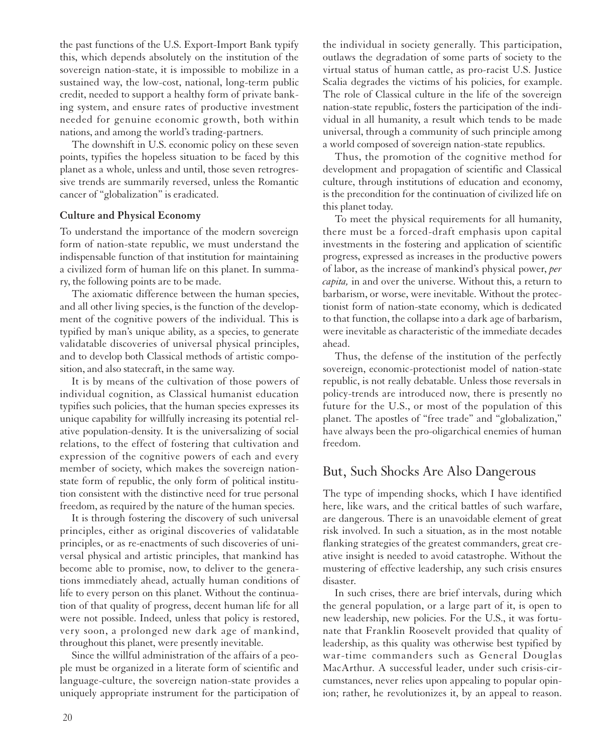the past functions of the U.S. Export-Import Bank typify this, which depends absolutely on the institution of the sovereign nation-state, it is impossible to mobilize in a sustained way, the low-cost, national, long-term public credit, needed to support a healthy form of private banking system, and ensure rates of productive investment needed for genuine economic growth, both within nations, and among the world's trading-partners.

The downshift in U.S. economic policy on these seven points, typifies the hopeless situation to be faced by this planet as a whole, unless and until, those seven retrogressive trends are summarily reversed, unless the Romantic cancer of "globalization" is eradicated.

#### **Culture and Physical Economy**

To understand the importance of the modern sovereign form of nation-state republic, we must understand the indispensable function of that institution for maintaining a civilized form of human life on this planet. In summary, the following points are to be made.

The axiomatic difference between the human species, and all other living species, is the function of the development of the cognitive powers of the individual. This is typified by man's unique ability, as a species, to generate validatable discoveries of universal physical principles, and to develop both Classical methods of artistic composition, and also statecraft, in the same way.

It is by means of the cultivation of those powers of individual cognition, as Classical humanist education typifies such policies, that the human species expresses its unique capability for willfully increasing its potential relative population-density. It is the universalizing of social relations, to the effect of fostering that cultivation and expression of the cognitive powers of each and every member of society, which makes the sovereign nationstate form of republic, the only form of political institution consistent with the distinctive need for true personal freedom, as required by the nature of the human species.

It is through fostering the discovery of such universal principles, either as original discoveries of validatable principles, or as re-enactments of such discoveries of universal physical and artistic principles, that mankind has become able to promise, now, to deliver to the generations immediately ahead, actually human conditions of life to every person on this planet. Without the continuation of that quality of progress, decent human life for all were not possible. Indeed, unless that policy is restored, very soon, a prolonged new dark age of mankind, throughout this planet, were presently inevitable.

Since the willful administration of the affairs of a people must be organized in a literate form of scientific and language-culture, the sovereign nation-state provides a uniquely appropriate instrument for the participation of

the individual in society generally. This participation, outlaws the degradation of some parts of society to the virtual status of human cattle, as pro-racist U.S. Justice Scalia degrades the victims of his policies, for example. The role of Classical culture in the life of the sovereign nation-state republic, fosters the participation of the individual in all humanity, a result which tends to be made universal, through a community of such principle among a world composed of sovereign nation-state republics.

Thus, the promotion of the cognitive method for development and propagation of scientific and Classical culture, through institutions of education and economy, is the precondition for the continuation of civilized life on this planet today.

To meet the physical requirements for all humanity, there must be a forced-draft emphasis upon capital investments in the fostering and application of scientific progress, expressed as increases in the productive powers of labor, as the increase of mankind's physical power, *per capita,* in and over the universe. Without this, a return to barbarism, or worse, were inevitable. Without the protectionist form of nation-state economy, which is dedicated to that function, the collapse into a dark age of barbarism, were inevitable as characteristic of the immediate decades ahead.

Thus, the defense of the institution of the perfectly sovereign, economic-protectionist model of nation-state republic, is not really debatable. Unless those reversals in policy-trends are introduced now, there is presently no future for the U.S., or most of the population of this planet. The apostles of "free trade" and "globalization," have always been the pro-oligarchical enemies of human freedom.

## But, Such Shocks Are Also Dangerous

The type of impending shocks, which I have identified here, like wars, and the critical battles of such warfare, are dangerous. There is an unavoidable element of great risk involved. In such a situation, as in the most notable flanking strategies of the greatest commanders, great creative insight is needed to avoid catastrophe. Without the mustering of effective leadership, any such crisis ensures disaster.

In such crises, there are brief intervals, during which the general population, or a large part of it, is open to new leadership, new policies. For the U.S., it was fortunate that Franklin Roosevelt provided that quality of leadership, as this quality was otherwise best typified by war-time commanders such as General Douglas MacArthur. A successful leader, under such crisis-circumstances, never relies upon appealing to popular opinion; rather, he revolutionizes it, by an appeal to reason.